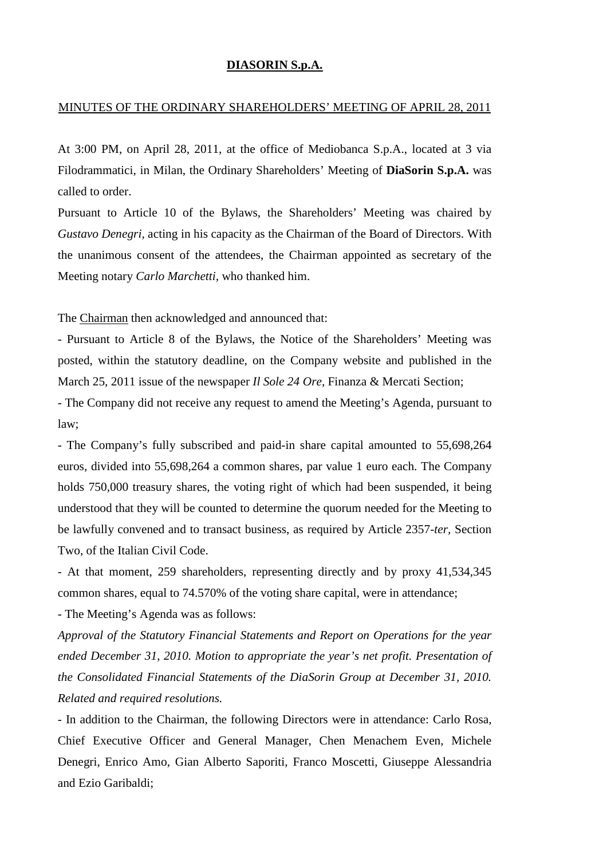## **DIASORIN S.p.A.**

## MINUTES OF THE ORDINARY SHAREHOLDERS' MEETING OF APRIL 28, 2011

At 3:00 PM, on April 28, 2011, at the office of Mediobanca S.p.A., located at 3 via Filodrammatici, in Milan, the Ordinary Shareholders' Meeting of **DiaSorin S.p.A.** was called to order.

Pursuant to Article 10 of the Bylaws, the Shareholders' Meeting was chaired by *Gustavo Denegri,* acting in his capacity as the Chairman of the Board of Directors. With the unanimous consent of the attendees, the Chairman appointed as secretary of the Meeting notary *Carlo Marchetti,* who thanked him.

The Chairman then acknowledged and announced that:

- Pursuant to Article 8 of the Bylaws, the Notice of the Shareholders' Meeting was posted, within the statutory deadline, on the Company website and published in the March 25, 2011 issue of the newspaper *Il Sole 24 Ore,* Finanza & Mercati Section;

- The Company did not receive any request to amend the Meeting's Agenda, pursuant to law;

- The Company's fully subscribed and paid-in share capital amounted to 55,698,264 euros, divided into 55,698,264 a common shares, par value 1 euro each. The Company holds 750,000 treasury shares, the voting right of which had been suspended, it being understood that they will be counted to determine the quorum needed for the Meeting to be lawfully convened and to transact business, as required by Article 2357-*ter,* Section Two, of the Italian Civil Code.

- At that moment, 259 shareholders, representing directly and by proxy 41,534,345 common shares, equal to 74.570% of the voting share capital, were in attendance;

- The Meeting's Agenda was as follows:

*Approval of the Statutory Financial Statements and Report on Operations for the year ended December 31, 2010. Motion to appropriate the year's net profit. Presentation of the Consolidated Financial Statements of the DiaSorin Group at December 31, 2010. Related and required resolutions.* 

- In addition to the Chairman, the following Directors were in attendance: Carlo Rosa, Chief Executive Officer and General Manager, Chen Menachem Even, Michele Denegri, Enrico Amo, Gian Alberto Saporiti, Franco Moscetti, Giuseppe Alessandria and Ezio Garibaldi;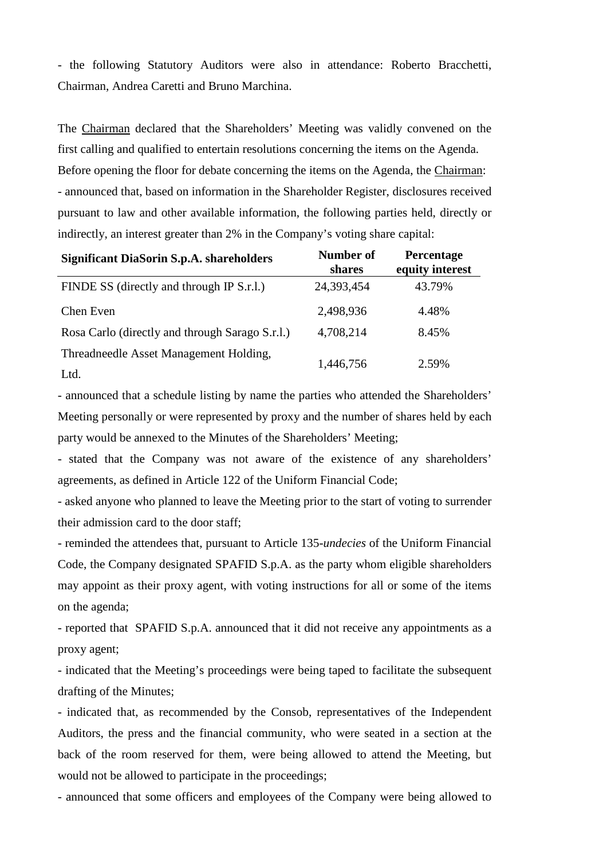- the following Statutory Auditors were also in attendance: Roberto Bracchetti, Chairman, Andrea Caretti and Bruno Marchina.

The Chairman declared that the Shareholders' Meeting was validly convened on the first calling and qualified to entertain resolutions concerning the items on the Agenda. Before opening the floor for debate concerning the items on the Agenda, the Chairman: - announced that, based on information in the Shareholder Register, disclosures received pursuant to law and other available information, the following parties held, directly or indirectly, an interest greater than 2% in the Company's voting share capital:

| <b>Significant DiaSorin S.p.A. shareholders</b> | <b>Number of</b><br>shares | Percentage<br>equity interest |
|-------------------------------------------------|----------------------------|-------------------------------|
| FINDE SS (directly and through IP S.r.l.)       | 24,393,454                 | 43.79%                        |
| Chen Even                                       | 2,498,936                  | 4.48%                         |
| Rosa Carlo (directly and through Sarago S.r.l.) | 4,708,214                  | 8.45%                         |
| Threadneedle Asset Management Holding,          | 1,446,756                  | 2.59%                         |
| Ltd.                                            |                            |                               |

- announced that a schedule listing by name the parties who attended the Shareholders' Meeting personally or were represented by proxy and the number of shares held by each party would be annexed to the Minutes of the Shareholders' Meeting;

- stated that the Company was not aware of the existence of any shareholders' agreements, as defined in Article 122 of the Uniform Financial Code;

- asked anyone who planned to leave the Meeting prior to the start of voting to surrender their admission card to the door staff;

- reminded the attendees that, pursuant to Article 135-*undecies* of the Uniform Financial Code, the Company designated SPAFID S.p.A. as the party whom eligible shareholders may appoint as their proxy agent, with voting instructions for all or some of the items on the agenda;

- reported that SPAFID S.p.A. announced that it did not receive any appointments as a proxy agent;

- indicated that the Meeting's proceedings were being taped to facilitate the subsequent drafting of the Minutes;

- indicated that, as recommended by the Consob, representatives of the Independent Auditors, the press and the financial community, who were seated in a section at the back of the room reserved for them, were being allowed to attend the Meeting, but would not be allowed to participate in the proceedings;

- announced that some officers and employees of the Company were being allowed to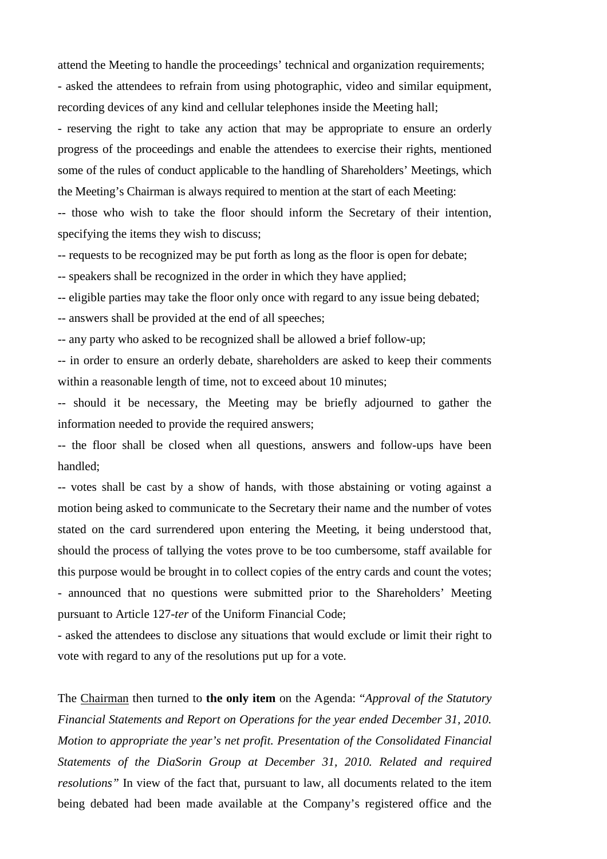attend the Meeting to handle the proceedings' technical and organization requirements; - asked the attendees to refrain from using photographic, video and similar equipment, recording devices of any kind and cellular telephones inside the Meeting hall;

- reserving the right to take any action that may be appropriate to ensure an orderly progress of the proceedings and enable the attendees to exercise their rights, mentioned some of the rules of conduct applicable to the handling of Shareholders' Meetings, which the Meeting's Chairman is always required to mention at the start of each Meeting:

-- those who wish to take the floor should inform the Secretary of their intention, specifying the items they wish to discuss;

-- requests to be recognized may be put forth as long as the floor is open for debate;

-- speakers shall be recognized in the order in which they have applied;

-- eligible parties may take the floor only once with regard to any issue being debated;

-- answers shall be provided at the end of all speeches;

-- any party who asked to be recognized shall be allowed a brief follow-up;

-- in order to ensure an orderly debate, shareholders are asked to keep their comments within a reasonable length of time, not to exceed about 10 minutes;

-- should it be necessary, the Meeting may be briefly adjourned to gather the information needed to provide the required answers;

-- the floor shall be closed when all questions, answers and follow-ups have been handled;

-- votes shall be cast by a show of hands, with those abstaining or voting against a motion being asked to communicate to the Secretary their name and the number of votes stated on the card surrendered upon entering the Meeting, it being understood that, should the process of tallying the votes prove to be too cumbersome, staff available for this purpose would be brought in to collect copies of the entry cards and count the votes; - announced that no questions were submitted prior to the Shareholders' Meeting pursuant to Article 127-*ter* of the Uniform Financial Code;

- asked the attendees to disclose any situations that would exclude or limit their right to vote with regard to any of the resolutions put up for a vote.

The Chairman then turned to **the only item** on the Agenda: "*Approval of the Statutory Financial Statements and Report on Operations for the year ended December 31, 2010. Motion to appropriate the year's net profit. Presentation of the Consolidated Financial Statements of the DiaSorin Group at December 31, 2010. Related and required resolutions"* In view of the fact that, pursuant to law, all documents related to the item being debated had been made available at the Company's registered office and the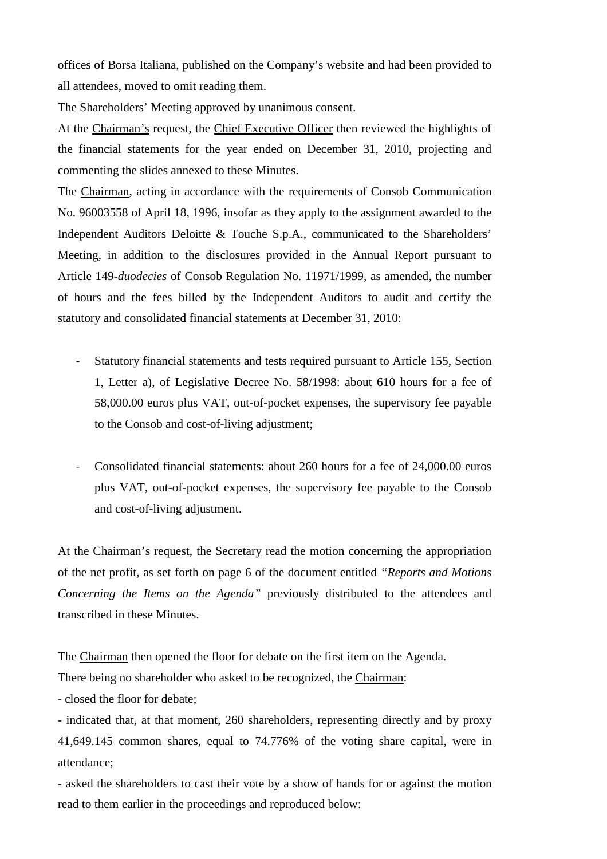offices of Borsa Italiana, published on the Company's website and had been provided to all attendees, moved to omit reading them.

The Shareholders' Meeting approved by unanimous consent.

At the Chairman's request, the Chief Executive Officer then reviewed the highlights of the financial statements for the year ended on December 31, 2010, projecting and commenting the slides annexed to these Minutes.

The Chairman, acting in accordance with the requirements of Consob Communication No. 96003558 of April 18, 1996, insofar as they apply to the assignment awarded to the Independent Auditors Deloitte & Touche S.p.A., communicated to the Shareholders' Meeting, in addition to the disclosures provided in the Annual Report pursuant to Article 149-*duodecies* of Consob Regulation No. 11971/1999, as amended, the number of hours and the fees billed by the Independent Auditors to audit and certify the statutory and consolidated financial statements at December 31, 2010:

- Statutory financial statements and tests required pursuant to Article 155, Section 1, Letter a), of Legislative Decree No. 58/1998: about 610 hours for a fee of 58,000.00 euros plus VAT, out-of-pocket expenses, the supervisory fee payable to the Consob and cost-of-living adjustment;
- Consolidated financial statements: about 260 hours for a fee of 24,000.00 euros plus VAT, out-of-pocket expenses, the supervisory fee payable to the Consob and cost-of-living adjustment.

At the Chairman's request, the Secretary read the motion concerning the appropriation of the net profit, as set forth on page 6 of the document entitled *"Reports and Motions Concerning the Items on the Agenda"* previously distributed to the attendees and transcribed in these Minutes.

The Chairman then opened the floor for debate on the first item on the Agenda.

There being no shareholder who asked to be recognized, the Chairman:

- closed the floor for debate;

- indicated that, at that moment, 260 shareholders, representing directly and by proxy 41,649.145 common shares, equal to 74.776% of the voting share capital, were in attendance;

- asked the shareholders to cast their vote by a show of hands for or against the motion read to them earlier in the proceedings and reproduced below: